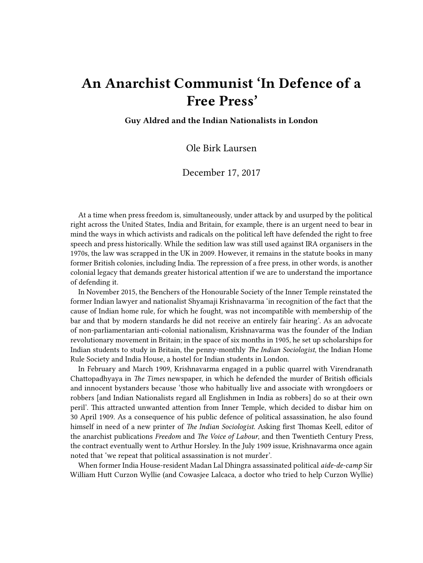## **An Anarchist Communist 'In Defence of a Free Press'**

**Guy Aldred and the Indian Nationalists in London**

Ole Birk Laursen

## December 17, 2017

At a time when press freedom is, simultaneously, under attack by and usurped by the political right across the United States, India and Britain, for example, there is an urgent need to bear in mind the ways in which activists and radicals on the political left have defended the right to free speech and press historically. While the sedition law was still used against IRA organisers in the 1970s, the law was scrapped in the UK in 2009. However, it remains in the statute books in many former British colonies, including India. The repression of a free press, in other words, is another colonial legacy that demands greater historical attention if we are to understand the importance of defending it.

In November 2015, the Benchers of the Honourable Society of the Inner Temple reinstated the former Indian lawyer and nationalist Shyamaji Krishnavarma 'in recognition of the fact that the cause of Indian home rule, for which he fought, was not incompatible with membership of the bar and that by modern standards he did not receive an entirely fair hearing'. As an advocate of non-parliamentarian anti-colonial nationalism, Krishnavarma was the founder of the Indian revolutionary movement in Britain; in the space of six months in 1905, he set up scholarships for Indian students to study in Britain, the penny-monthly *The Indian Sociologist*, the Indian Home Rule Society and India House, a hostel for Indian students in London.

In February and March 1909, Krishnavarma engaged in a public quarrel with Virendranath Chattopadhyaya in *The Times* newspaper, in which he defended the murder of British officials and innocent bystanders because 'those who habitually live and associate with wrongdoers or robbers [and Indian Nationalists regard all Englishmen in India as robbers] do so at their own peril'. This attracted unwanted attention from Inner Temple, which decided to disbar him on 30 April 1909. As a consequence of his public defence of political assassination, he also found himself in need of a new printer of *The Indian Sociologist*. Asking first Thomas Keell, editor of the anarchist publications *Freedom* and *The Voice of Labour*, and then Twentieth Century Press, the contract eventually went to Arthur Horsley. In the July 1909 issue, Krishnavarma once again noted that 'we repeat that political assassination is not murder'.

When former India House-resident Madan Lal Dhingra assassinated political *aide-de-camp* Sir William Hutt Curzon Wyllie (and Cowasjee Lalcaca, a doctor who tried to help Curzon Wyllie)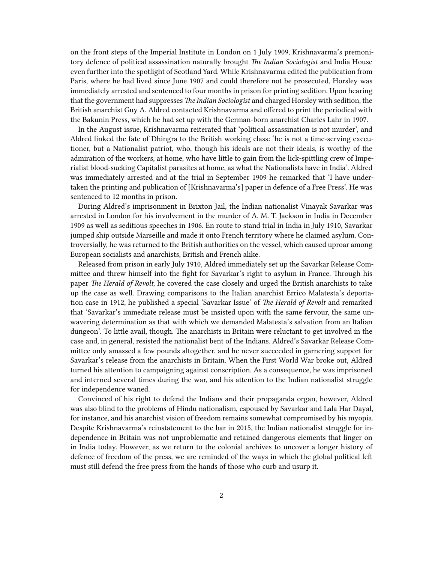on the front steps of the Imperial Institute in London on 1 July 1909, Krishnavarma's premonitory defence of political assassination naturally brought *The Indian Sociologist* and India House even further into the spotlight of Scotland Yard. While Krishnavarma edited the publication from Paris, where he had lived since June 1907 and could therefore not be prosecuted, Horsley was immediately arrested and sentenced to four months in prison for printing sedition. Upon hearing that the government had suppresses *The Indian Sociologist* and charged Horsley with sedition, the British anarchist Guy A. Aldred contacted Krishnavarma and offered to print the periodical with the Bakunin Press, which he had set up with the German-born anarchist Charles Lahr in 1907.

In the August issue, Krishnavarma reiterated that 'political assassination is not murder', and Aldred linked the fate of Dhingra to the British working class: 'he is not a time-serving executioner, but a Nationalist patriot, who, though his ideals are not their ideals, is worthy of the admiration of the workers, at home, who have little to gain from the lick-spittling crew of Imperialist blood-sucking Capitalist parasites at home, as what the Nationalists have in India'. Aldred was immediately arrested and at the trial in September 1909 he remarked that 'I have undertaken the printing and publication of [Krishnavarma's] paper in defence of a Free Press'. He was sentenced to 12 months in prison.

During Aldred's imprisonment in Brixton Jail, the Indian nationalist Vinayak Savarkar was arrested in London for his involvement in the murder of A. M. T. Jackson in India in December 1909 as well as seditious speeches in 1906. En route to stand trial in India in July 1910, Savarkar jumped ship outside Marseille and made it onto French territory where he claimed asylum. Controversially, he was returned to the British authorities on the vessel, which caused uproar among European socialists and anarchists, British and French alike.

Released from prison in early July 1910, Aldred immediately set up the Savarkar Release Committee and threw himself into the fight for Savarkar's right to asylum in France. Through his paper *The Herald of Revolt*, he covered the case closely and urged the British anarchists to take up the case as well. Drawing comparisons to the Italian anarchist Errico Malatesta's deportation case in 1912, he published a special 'Savarkar Issue' of *The Herald of Revolt* and remarked that 'Savarkar's immediate release must be insisted upon with the same fervour, the same unwavering determination as that with which we demanded Malatesta's salvation from an Italian dungeon'. To little avail, though. The anarchists in Britain were reluctant to get involved in the case and, in general, resisted the nationalist bent of the Indians. Aldred's Savarkar Release Committee only amassed a few pounds altogether, and he never succeeded in garnering support for Savarkar's release from the anarchists in Britain. When the First World War broke out, Aldred turned his attention to campaigning against conscription. As a consequence, he was imprisoned and interned several times during the war, and his attention to the Indian nationalist struggle for independence waned.

Convinced of his right to defend the Indians and their propaganda organ, however, Aldred was also blind to the problems of Hindu nationalism, espoused by Savarkar and Lala Har Dayal, for instance, and his anarchist vision of freedom remains somewhat compromised by his myopia. Despite Krishnavarma's reinstatement to the bar in 2015, the Indian nationalist struggle for independence in Britain was not unproblematic and retained dangerous elements that linger on in India today. However, as we return to the colonial archives to uncover a longer history of defence of freedom of the press, we are reminded of the ways in which the global political left must still defend the free press from the hands of those who curb and usurp it.